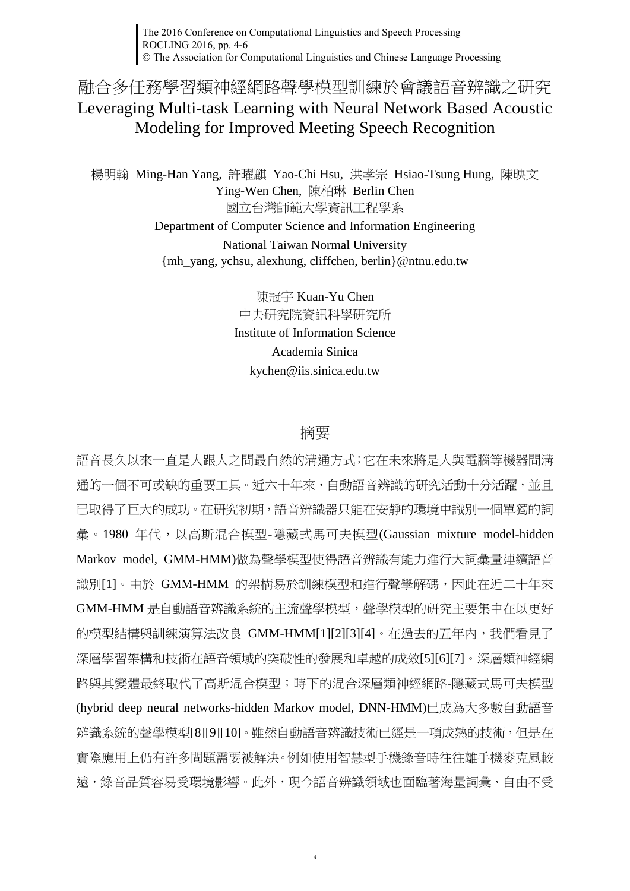The 2016 Conference on Computational Linguistics and Speech Processing ROCLING 2016, pp. 4-6 The Association for Computational Linguistics and Chinese Language Processing

融合多任務學習類神經網路聲學模型訓練於會議語音辨識之研究 Leveraging Multi-task Learning with Neural Network Based Acoustic Modeling for Improved Meeting Speech Recognition

楊明翰 Ming-Han Yang, 許曜麒 Yao-Chi Hsu, 洪孝宗 Hsiao-Tsung Hung, 陳映文 Ying-Wen Chen, 陳柏琳 Berlin Chen 國立台灣師範大學資訊工程學系 Department of Computer Science and Information Engineering National Taiwan Normal University {mh\_yang, ychsu, alexhung, cliffchen, berlin}@ntnu.edu.tw

> 陳冠宇 Kuan-Yu Chen 中央研究院資訊科學研究所 Institute of Information Science Academia Sinica kychen@iis.sinica.edu.tw

## 摘要

語音長久以來一直是人跟人之間最自然的溝通方式;它在未來將是人與電腦等機器間溝 通的一個不可或缺的重要工具。近六十年來,自動語音辨識的研究活動十分活躍,並且 已取得了巨大的成功。在研究初期,語音辨識器只能在安靜的環境中識別一個單獨的詞 彙。1980 年代,以高斯混合模型-隱藏式馬可夫模型(Gaussian mixture model-hidden Markov model, GMM-HMM)做為聲學模型使得語音辨識有能力進行大詞彙量連續語音 識別[\[1\]](#page-1-0)。由於 GMM-HMM 的架構易於訓練模型和進行聲學解碼,因此在近二十年來 GMM-HMM 是自動語音辨識系統的主流聲學模型, 聲學模型的研究主要集中在以更好 的模型結構與訓練演算法改良 GMM-HM[M\[1\]\[2\]](#page-1-0)[\[3\]\[4\]](#page-1-1)。在過去的五年內,我們看見了 深層學習架構和技術在語音領域的突破性的發展和卓越的成效[\[5\]\[6\]](#page-1-2)[\[7\]](#page-2-0)。深層類神經網 路與其變體最終取代了高斯混合模型;時下的混合深層類神經網路-隱藏式馬可夫模型 (hybrid deep neural networks-hidden Markov model, DNN-HMM)已成為大多數自動語音 辨識系統的聲學模型[\[8\]\[9\]](#page-2-1)[\[10\]](#page-2-2)。雖然自動語音辨識技術已經是一項成熟的技術,但是在 實際應用上仍有許多問題需要被解決。例如使用智慧型手機錄音時往往離手機麥克風較 遠,錄音品質容易受環境影響。此外,現今語音辨識領域也面臨著海量詞彙、自由不受

4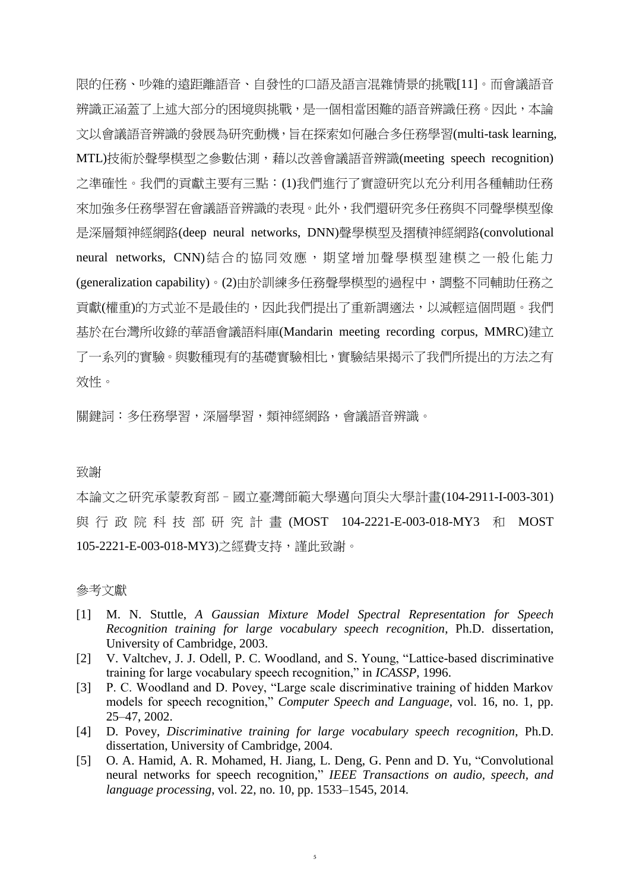限的任務、吵雜的遠距離語音、自發性的口語及語言混雜情景的挑戰[\[11\]](#page-2-3)。而會議語音 辨識正涵蓋了上述大部分的困境與挑戰,是一個相當困難的語音辨識任務。因此,本論 文以會議語音辨識的發展為研究動機,旨在探索如何融合多任務學習(multi-task learning, MTL)技術於聲學模型之參數估測,藉以改善會議語音辨識(meeting speech recognition) 之準確性。我們的貢獻主要有三點:(1)我們進行了實證研究以充分利用各種輔助任務 來加強多任務學習在會議語音辨識的表現。此外,我們還研究多任務與不同聲學模型像 是深層類神經網路(deep neural networks, DNN)聲學模型及摺積神經網路(convolutional neural networks, CNN)結合的協同效應,期望增加聲學模型建模之一般化能力 (generalization capability)。(2)由於訓練多任務聲學模型的過程中,調整不同輔助任務之 貢獻(權重)的方式並不是最佳的,因此我們提出了重新調適法,以減輕這個問題。我們 基於在台灣所收錄的華語會議語料庫(Mandarin meeting recording corpus, MMRC)建立 了一系列的實驗。與數種現有的基礎實驗相比,實驗結果揭示了我們所提出的方法之有 效性。

關鍵詞:多任務學習,深層學習,類神經網路,會議語音辨識。

## 致謝

本論文之研究承蒙教育部–國立臺灣師範大學邁向頂尖大學計畫(104-2911-I-003-301) 與 行 政 院 科 技 部 研 究 計 畫 (MOST 104-2221-E-003-018-MY3 和 MOST 105-2221-E-003-018-MY3)之經費支持,謹此致謝。

## 參考文獻

- <span id="page-1-0"></span>[1] M. N. Stuttle, *A Gaussian Mixture Model Spectral Representation for Speech Recognition training for large vocabulary speech recognition*, Ph.D. dissertation, University of Cambridge, 2003.
- [2] V. Valtchev, J. J. Odell, P. C. Woodland, and S. Young, "Lattice-based discriminative training for large vocabulary speech recognition," in *ICASSP*, 1996.
- <span id="page-1-1"></span>[3] P. C. Woodland and D. Povey, "Large scale discriminative training of hidden Markov models for speech recognition," *Computer Speech and Language*, vol. 16, no. 1, pp. 25–47, 2002.
- [4] D. Povey, *Discriminative training for large vocabulary speech recognition*, Ph.D. dissertation, University of Cambridge, 2004.
- <span id="page-1-2"></span>[5] O. A. Hamid, A. R. Mohamed, H. Jiang, L. Deng, G. Penn and D. Yu, "Convolutional neural networks for speech recognition," *IEEE Transactions on audio, speech, and language processing*, vol. 22, no. 10, pp. 1533–1545, 2014.